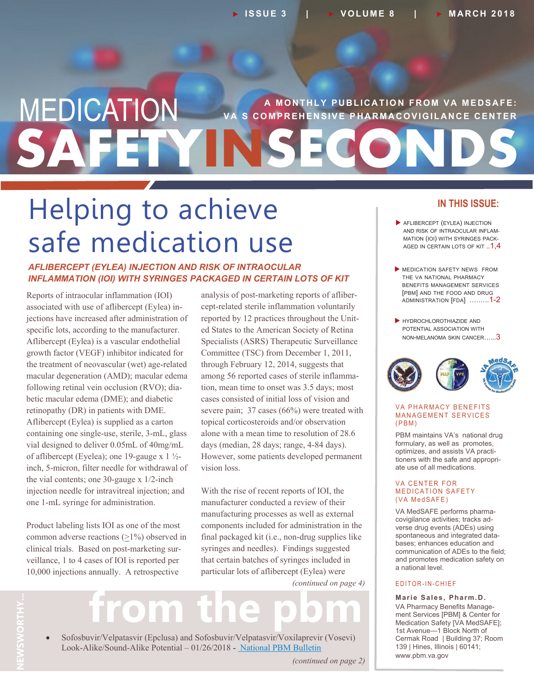## **A MONTHLY PUBLICATION FROM VA MEDSAFE: SAFETYINSECONDS MEDICATION** S COMPREHENSIVE PHARMACOVIGILANCE CENTER

# Helping to achieve safe medication use

## *AFLIBERCEPT (EYLEA) INJECTION AND RISK OF INTRAOCULAR INFLAMMATION (IOI) WITH SYRINGES PACKAGED IN CERTAIN LOTS OF KIT*

 betic macular edema (DME); and diabetic one 1-mL syringe for administration. Reports of intraocular inflammation (IOI) associated with use of aflibercept (Eylea) injections have increased after administration of specific lots, according to the manufacturer. Aflibercept (Eylea) is a vascular endothelial growth factor (VEGF) inhibitor indicated for the treatment of neovascular (wet) age-related macular degeneration (AMD); macular edema following retinal vein occlusion (RVO); diaretinopathy (DR) in patients with DME. Aflibercept (Eylea) is supplied as a carton containing one single-use, sterile, 3-mL, glass vial designed to deliver 0.05mL of 40mg/mL of aflibercept (Eyelea); one 19-gauge x  $1\frac{1}{2}$ inch, 5-micron, filter needle for withdrawal of the vial contents; one 30-gauge x 1/2-inch injection needle for intravitreal injection; and

Product labeling lists IOI as one of the most common adverse reactions (>1%) observed in clinical trials. Based on post-marketing surveillance, 1 to 4 cases of IOI is reported per 10,000 injections annually. A retrospective

analysis of post-marketing reports of aflibercept-related sterile inflammation voluntarily reported by 12 practices throughout the United States to the American Society of Retina Specialists (ASRS) Therapeutic Surveillance Committee (TSC) from December 1, 2011, through February 12, 2014, suggests that among 56 reported cases of sterile inflammation, mean time to onset was 3.5 days; most cases consisted of initial loss of vision and severe pain; 37 cases (66%) were treated with topical corticosteroids and/or observation alone with a mean time to resolution of 28.6 days (median, 28 days; range, 4-84 days). However, some patients developed permanent vision loss.

With the rise of recent reports of IOI, the manufacturer conducted a review of their manufacturing processes as well as external components included for administration in the final packaged kit (i.e., non-drug supplies like syringes and needles). Findings suggested that certain batches of syringes included in particular lots of aflibercept (Eylea) were

*(continued on page 4)*

# from the pbm

**THY...**  Sofosbuvir/Velpatasvir (Epclusa) and Sofosbuvir/Velpatasvir/Voxilaprevir (Vosevi) Look-Alike/Sound-Alike Potential – 01/26/2018 - [National PBM Bulletin](https://www.pbm.va.gov/PBM/vacenterformedicationsafety/Sofosbuvir_Velpatasvir_Epclusa_and_Sofosbuvir_Velpatasvir_Voxilaprevir_LASA_Potential_NATIONAL_PBM_BULLETIN_FINAL_012618_with_disclaimer.pdf)

*(continued on page 2)*

## **IN THIS ISSUE:**

- AND RISK OF INTRAOCULAR INFLAM- MATION (IOI) WITH SYRINGES PACK-AGED IN CERTAIN LOTS OF KIT  $..1,4$ **AFLIBERCEPT (EYLEA) INJECTION**
- **MEDICATION SAFETY NEWS FROM**  THE VA NATIONAL PHARMACY BENEFITS MANAGEMENT SERVICES [PBM] AND THE FOOD AND DRUG ADMINISTRATION [FDA] .……..1-2
- HYDROCHLOROTHIAZIDE AND POTENTIAL ASSOCIATION WITH NON-MELANOMA SKIN CANCER......3



## VA PHARMACY BENEFITS **MANAGEMENT SERVICES**  $(PBM)$

PBM maintains VA's national drug formulary, as well as promotes, optimizes, and assists VA practitioners with the safe and appropriate use of all medications.

### VA CENTER FOR MEDICATION SAFETY (VA MedSAFE)

VA MedSAFE performs pharmacovigilance activities; tracks adverse drug events (ADEs) using spontaneous and integrated databases; enhances education and communication of ADEs to the field; and promotes medication safety on a national level.

## E D I T O R - I N - C H I E F

 **Marie Sales, Pharm.D.** VA Pharmacy Benefits Management Services [PBM] & Center for Medication Safety [VA MedSAFE]; 1st Avenue—1 Block North of Cermak Road | Building 37; Room 139 | Hines, Illinois | 60141; <www.pbm.va.gov>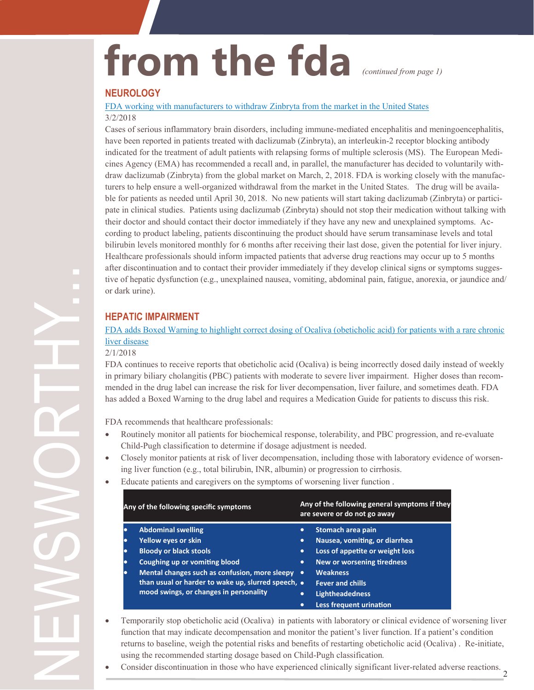# from the fda *(continued from page 1)*

## **NEUROLOGY**

[FDA working with manufacturers to withdraw Zinbryta from the market](https://www.fda.gov/Drugs/DrugSafety/ucm600999.htm) in the United States 3/2/2018

 their doctor and should contact their doctor immediately if they have any new and unexplained symptoms. Ac- cording to product labeling, patients discontinuing the product should have serum transaminase levels and total Cases of serious inflammatory brain disorders, including immune-mediated encephalitis and meningoencephalitis, have been reported in patients treated with daclizumab (Zinbryta), an interleukin-2 receptor blocking antibody indicated for the treatment of adult patients with relapsing forms of multiple sclerosis (MS). The European Medicines Agency (EMA) has recommended a recall and, in parallel, the manufacturer has decided to voluntarily withdraw daclizumab (Zinbryta) from the global market on March, 2, 2018. FDA is working closely with the manufacturers to help ensure a well-organized withdrawal from the market in the United States. The drug will be available for patients as needed until April 30, 2018. No new patients will start taking daclizumab (Zinbryta) or participate in clinical studies. Patients using daclizumab (Zinbryta) should not stop their medication without talking with bilirubin levels monitored monthly for 6 months after receiving their last dose, given the potential for liver injury. Healthcare professionals should inform impacted patients that adverse drug reactions may occur up to 5 months after discontinuation and to contact their provider immediately if they develop clinical signs or symptoms suggestive of hepatic dysfunction (e.g., unexplained nausea, vomiting, abdominal pain, fatigue, anorexia, or jaundice and/ or dark urine).

## **HEPATIC IMPAIRMENT**

[FDA adds Boxed Warning to highlight correct dosing of](https://www.fda.gov/Drugs/DrugSafety/ucm594941.htm) Ocaliva (obeticholic acid) for patients with a rare chronic liver [disease](https://www.fda.gov/Drugs/DrugSafety/ucm594941.htm)

## 2/1/2018

FDA continues to receive reports that obeticholic acid (Ocaliva) is being incorrectly dosed daily instead of weekly in primary biliary cholangitis (PBC) patients with moderate to severe liver impairment. Higher doses than recommended in the drug label can increase the risk for liver decompensation, liver failure, and sometimes death. FDA has added a Boxed Warning to the drug label and requires a Medication Guide for patients to discuss this risk.

FDA recommends that healthcare professionals:

- Routinely monitor all patients for biochemical response, tolerability, and PBC progression, and re-evaluate Child-Pugh classification to determine if dosage adjustment is needed.
- Closely monitor patients at risk of liver decompensation, including those with laboratory evidence of worsening liver function (e.g., total bilirubin, INR, albumin) or progression to cirrhosis.
- Educate patients and caregivers on the symptoms of worsening liver function .

| Any of the following specific symptoms |                                                                                              | Any of the following general symptoms if they<br>are severe or do not go away |                                   |  |
|----------------------------------------|----------------------------------------------------------------------------------------------|-------------------------------------------------------------------------------|-----------------------------------|--|
| $\bullet$                              | <b>Abdominal swelling</b>                                                                    | $\bullet$                                                                     | Stomach area pain                 |  |
| $\bullet$                              | Yellow eyes or skin                                                                          | $\bullet$                                                                     | Nausea, vomiting, or diarrhea     |  |
| $\bullet$                              | <b>Bloody or black stools</b>                                                                | $\bullet$                                                                     | Loss of appetite or weight loss   |  |
| $\bullet$                              | <b>Coughing up or vomiting blood</b>                                                         | ٠                                                                             | <b>New or worsening tiredness</b> |  |
| $\bullet$                              | Mental changes such as confusion, more sleepy                                                | $\bullet$                                                                     | <b>Weakness</b>                   |  |
|                                        | than usual or harder to wake up, slurred speech, •<br>mood swings, or changes in personality |                                                                               | <b>Fever and chills</b>           |  |
|                                        |                                                                                              | $\bullet$                                                                     | <b>Lightheadedness</b>            |  |
|                                        |                                                                                              | $\bullet$                                                                     | <b>Less frequent urination</b>    |  |

- Temporarily stop obeticholic acid (Ocaliva) in patients with laboratory or clinical evidence of worsening liver function that may indicate decompensation and monitor the patient's liver function. If a patient's condition returns to baseline, weigh the potential risks and benefits of restarting obeticholic acid (Ocaliva) . Re-initiate, using the recommended starting dosage based on Child-Pugh classification*.*
- Consider discontinuation in those who have experienced clinically significant liver-related adverse reactions.

2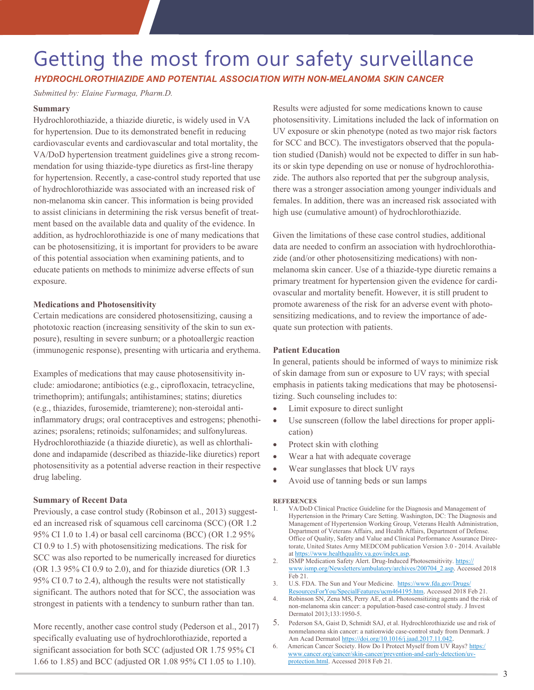## Getting the most from our safety surveillance *HYDROCHLOROTHIAZIDE AND POTENTIAL ASSOCIATION WITH NON-MELANOMA SKIN CANCER*

*Submitted by: Elaine Furmaga, Pharm.D.*

## **Summary**

Hydrochlorothiazide, a thiazide diuretic, is widely used in VA for hypertension. Due to its demonstrated benefit in reducing cardiovascular events and cardiovascular and total mortality, the VA/DoD hypertension treatment guidelines give a strong recommendation for using thiazide-type diuretics as first-line therapy for hypertension. Recently, a case-control study reported that use of hydrochlorothiazide was associated with an increased risk of non-melanoma skin cancer. This information is being provided to assist clinicians in determining the risk versus benefit of treatment based on the available data and quality of the evidence. In addition, as hydrochlorothiazide is one of many medications that can be photosensitizing, it is important for providers to be aware of this potential association when examining patients, and to educate patients on methods to minimize adverse effects of sun exposure.

## **Medications and Photosensitivity**

 phototoxic reaction (increasing sensitivity of the skin to sun ex- posure), resulting in severe sunburn; or a photoallergic reaction Certain medications are considered photosensitizing, causing a (immunogenic response), presenting with urticaria and erythema.

Examples of medications that may cause photosensitivity include: amiodarone; antibiotics (e.g., ciprofloxacin, tetracycline, trimethoprim); antifungals; antihistamines; statins; diuretics (e.g., thiazides, furosemide, triamterene); non-steroidal antiinflammatory drugs; oral contraceptives and estrogens; phenothiazines; psoralens; retinoids; sulfonamides; and sulfonylureas. Hydrochlorothiazide (a thiazide diuretic), as well as chlorthalidone and indapamide (described as thiazide-like diuretics) report photosensitivity as a potential adverse reaction in their respective drug labeling.

### **Summary of Recent Data**

Previously, a case control study (Robinson et al., 2013) suggested an increased risk of squamous cell carcinoma (SCC) (OR 1.2 95% CI 1.0 to 1.4) or basal cell carcinoma (BCC) (OR 1.2 95% CI 0.9 to 1.5) with photosensitizing medications. The risk for SCC was also reported to be numerically increased for diuretics (OR 1.3 95% CI 0.9 to 2.0), and for thiazide diuretics (OR 1.3 95% CI 0.7 to 2.4), although the results were not statistically significant. The authors noted that for SCC, the association was strongest in patients with a tendency to sunburn rather than tan.

 significant association for both SCC (adjusted OR 1.75 95% CI More recently, another case control study (Pederson et al., 2017) specifically evaluating use of hydrochlorothiazide, reported a 1.66 to 1.85) and BCC (adjusted OR 1.08 95% CI 1.05 to 1.10).

Results were adjusted for some medications known to cause photosensitivity. Limitations included the lack of information on UV exposure or skin phenotype (noted as two major risk factors for SCC and BCC). The investigators observed that the population studied (Danish) would not be expected to differ in sun habits or skin type depending on use or nonuse of hydrochlorothiazide. The authors also reported that per the subgroup analysis, there was a stronger association among younger individuals and females. In addition, there was an increased risk associated with high use (cumulative amount) of hydrochlorothiazide.

 ovascular and mortality benefit. However, it is still prudent to Given the limitations of these case control studies, additional data are needed to confirm an association with hydrochlorothiazide (and/or other photosensitizing medications) with nonmelanoma skin cancer. Use of a thiazide-type diuretic remains a primary treatment for hypertension given the evidence for cardipromote awareness of the risk for an adverse event with photosensitizing medications, and to review the importance of adequate sun protection with patients.

## **Patient Education**

In general, patients should be informed of ways to minimize risk of skin damage from sun or exposure to UV rays; with special emphasis in patients taking medications that may be photosensitizing. Such counseling includes to:

- Limit exposure to direct sunlight
- Use sunscreen (follow the label directions for proper application)
- Protect skin with clothing
- Wear a hat with adequate coverage
- Wear sunglasses that block UV rays
- Avoid use of tanning beds or sun lamps

#### **REFERENCES**

- 1. VA/DoD Clinical Practice Guideline for the Diagnosis and Management of Hypertension in the Primary Care Setting. Washington, DC: The Diagnosis and Management of Hypertension Working Group, Veterans Health Administration, Department of Veterans Affairs, and Health Affairs, Department of Defense. Office of Quality, Safety and Value and Clinical Performance Assurance Directorate, United States Army MEDCOM publication Version 3.0 - 2014. Available at [https://www.healthquality.va.gov/index.asp.](https://www.healthquality.va.gov/index.asp)
- 2. ISMP Medication Safety Alert. Drug-Induced Photosensitivity. [https://](https://www.ismp.org/Newsletters/ambulatory/archives/200704_2.asp) [www.ismp.org/Newsletters/ambulatory/archives/200704\\_2.asp.](https://www.ismp.org/Newsletters/ambulatory/archives/200704_2.asp) Accessed 2018 Feb 21.
- 3. U.S. FDA. The Sun and Your Medicine. [https://www.fda.gov/Drugs/](https://www.fda.gov/Drugs/ResourcesForYou/SpecialFeatures/ucm464195.htm) [ResourcesForYou/SpecialFeatures/ucm464195.htm.](https://www.fda.gov/Drugs/ResourcesForYou/SpecialFeatures/ucm464195.htm) Accessed 2018 Feb 21.
- 4. Robinson SN, Zena MS, Perry AE, et al. Photosensitizing agents and the risk of non-melanoma skin cancer: a population-based case-control study. J Invest Dermatol 2013;133:1950-5.
- 5. Pederson SA, Gaist D, Schmidt SAJ, et al. Hydrochlorothiazide use and risk of nonmelanoma skin cancer: a nationwide case-control study from Denmark. J Am Acad Dermatol [https://doi.org/10.1016/j.jaad.2017.11.042.](https://doi.org/10.1016/j.jaad.2017.11.042)
- 6. American Cancer Society. How Do I Protect Myself from UV Rays? [https:/](https://www.cancer.org/cancer/skin-cancer/prevention-and-early-detection/uv-protection.html) [www.cancer.org/cancer/skin](https://www.cancer.org/cancer/skin-cancer/prevention-and-early-detection/uv-protection.html)-cancer/prevention-and-early-detection/uv[protection.html.](https://www.cancer.org/cancer/skin-cancer/prevention-and-early-detection/uv-protection.html) Accessed 2018 Feb 21.